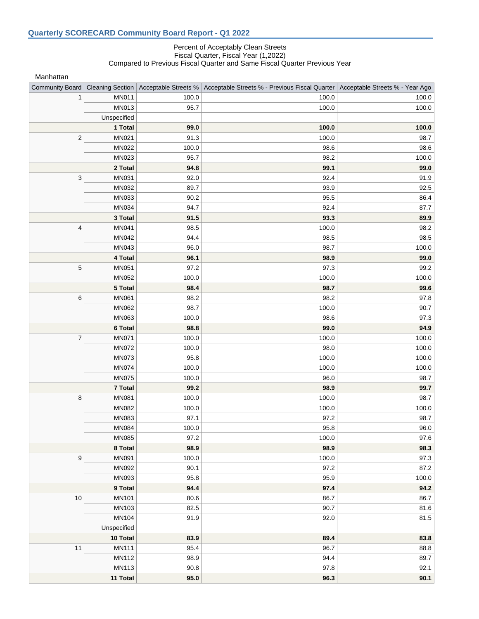## Percent of Acceptably Clean Streets Fiscal Quarter, Fiscal Year (1,2022) Compared to Previous Fiscal Quarter and Same Fiscal Quarter Previous Year

Manhattan

| Community Board           |                |       | Cleaning Section   Acceptable Streets %   Acceptable Streets % - Previous Fiscal Quarter   Acceptable Streets % - Year Ago |       |
|---------------------------|----------------|-------|----------------------------------------------------------------------------------------------------------------------------|-------|
| 1                         | <b>MN011</b>   | 100.0 | 100.0                                                                                                                      | 100.0 |
|                           | MN013          | 95.7  | 100.0                                                                                                                      | 100.0 |
|                           | Unspecified    |       |                                                                                                                            |       |
|                           | 1 Total        | 99.0  | 100.0                                                                                                                      | 100.0 |
| $\sqrt{2}$                | MN021          | 91.3  | 100.0                                                                                                                      | 98.7  |
|                           | <b>MN022</b>   | 100.0 | 98.6                                                                                                                       | 98.6  |
|                           | MN023          | 95.7  | 98.2                                                                                                                       | 100.0 |
|                           | 2 Total        | 94.8  | 99.1                                                                                                                       | 99.0  |
| $\ensuremath{\mathsf{3}}$ | MN031          | 92.0  | 92.4                                                                                                                       | 91.9  |
|                           | MN032          | 89.7  | 93.9                                                                                                                       | 92.5  |
|                           | MN033          | 90.2  | 95.5                                                                                                                       | 86.4  |
|                           | MN034          | 94.7  | 92.4                                                                                                                       | 87.7  |
|                           | 3 Total        | 91.5  | 93.3                                                                                                                       | 89.9  |
| $\overline{\mathbf{4}}$   | MN041          | 98.5  | 100.0                                                                                                                      | 98.2  |
|                           | MN042          | 94.4  | 98.5                                                                                                                       | 98.5  |
|                           | MN043          | 96.0  | 98.7                                                                                                                       | 100.0 |
|                           | 4 Total        | 96.1  | 98.9                                                                                                                       | 99.0  |
| $\mathbf 5$               | <b>MN051</b>   | 97.2  | 97.3                                                                                                                       | 99.2  |
|                           | <b>MN052</b>   | 100.0 | 100.0                                                                                                                      | 100.0 |
|                           | 5 Total        | 98.4  | 98.7                                                                                                                       | 99.6  |
| 6                         | <b>MN061</b>   | 98.2  | 98.2                                                                                                                       | 97.8  |
|                           | MN062          | 98.7  | 100.0                                                                                                                      | 90.7  |
|                           | MN063          | 100.0 | 98.6                                                                                                                       | 97.3  |
|                           | 6 Total        | 98.8  | 99.0                                                                                                                       | 94.9  |
| $\overline{7}$            | <b>MN071</b>   | 100.0 | 100.0                                                                                                                      | 100.0 |
|                           | <b>MN072</b>   | 100.0 | 98.0                                                                                                                       | 100.0 |
|                           | <b>MN073</b>   | 95.8  | 100.0                                                                                                                      | 100.0 |
|                           | <b>MN074</b>   | 100.0 | 100.0                                                                                                                      | 100.0 |
|                           | <b>MN075</b>   | 100.0 | 96.0                                                                                                                       | 98.7  |
|                           | <b>7 Total</b> | 99.2  | 98.9                                                                                                                       | 99.7  |
| 8                         | <b>MN081</b>   | 100.0 | 100.0                                                                                                                      | 98.7  |
|                           | <b>MN082</b>   | 100.0 | 100.0                                                                                                                      | 100.0 |
|                           | MN083          | 97.1  | 97.2                                                                                                                       | 98.7  |
|                           | <b>MN084</b>   | 100.0 | 95.8                                                                                                                       | 96.0  |
|                           | <b>MN085</b>   | 97.2  | 100.0                                                                                                                      | 97.6  |
|                           | 8 Total        | 98.9  | 98.9                                                                                                                       | 98.3  |
| $\boldsymbol{9}$          | MN091          | 100.0 | 100.0                                                                                                                      | 97.3  |
|                           | MN092          | 90.1  | 97.2                                                                                                                       | 87.2  |
|                           | MN093          | 95.8  | 95.9                                                                                                                       | 100.0 |
|                           | 9 Total        | 94.4  | 97.4                                                                                                                       | 94.2  |
| 10                        | <b>MN101</b>   | 80.6  | 86.7                                                                                                                       | 86.7  |
|                           | MN103          | 82.5  | 90.7                                                                                                                       | 81.6  |
|                           | MN104          | 91.9  | 92.0                                                                                                                       | 81.5  |
|                           | Unspecified    |       |                                                                                                                            |       |
|                           | 10 Total       | 83.9  | 89.4                                                                                                                       | 83.8  |
| 11                        | <b>MN111</b>   | 95.4  | 96.7                                                                                                                       | 88.8  |
|                           | MN112          | 98.9  | 94.4                                                                                                                       | 89.7  |
|                           | MN113          | 90.8  | 97.8                                                                                                                       | 92.1  |
|                           | 11 Total       | 95.0  | 96.3                                                                                                                       | 90.1  |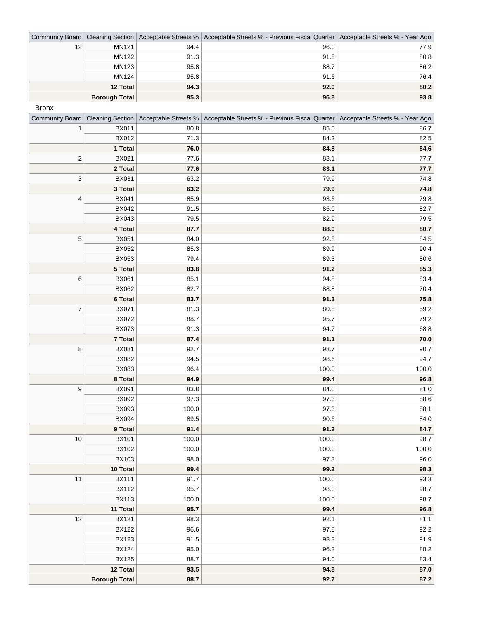|    |                      |      | Community Board   Cleaning Section   Acceptable Streets %   Acceptable Streets % - Previous Fiscal Quarter   Acceptable Streets % - Year Ago |      |
|----|----------------------|------|----------------------------------------------------------------------------------------------------------------------------------------------|------|
| 12 | MN121                | 94.4 | 96.0                                                                                                                                         | 77.9 |
|    | <b>MN122</b>         | 91.3 | 91.8                                                                                                                                         | 80.8 |
|    | MN123                | 95.8 | 88.7                                                                                                                                         | 86.2 |
|    | MN124                | 95.8 | 91.6                                                                                                                                         | 76.4 |
|    | 12 Total             | 94.3 | 92.0                                                                                                                                         | 80.2 |
|    | <b>Borough Total</b> | 95.3 | 96.8                                                                                                                                         | 93.8 |

Bronx

| Community Board      |              |       | Cleaning Section   Acceptable Streets %   Acceptable Streets % - Previous Fiscal Quarter   Acceptable Streets % - Year Ago |       |
|----------------------|--------------|-------|----------------------------------------------------------------------------------------------------------------------------|-------|
| 1                    | <b>BX011</b> | 80.8  | 85.5                                                                                                                       | 86.7  |
|                      | <b>BX012</b> | 71.3  | 84.2                                                                                                                       | 82.5  |
|                      | 1 Total      | 76.0  | 84.8                                                                                                                       | 84.6  |
| $\sqrt{2}$           | <b>BX021</b> | 77.6  | 83.1                                                                                                                       | 77.7  |
|                      | 2 Total      | 77.6  | 83.1                                                                                                                       | 77.7  |
| 3                    | <b>BX031</b> | 63.2  | 79.9                                                                                                                       | 74.8  |
|                      | 3 Total      | 63.2  | 79.9                                                                                                                       | 74.8  |
| 4                    | <b>BX041</b> | 85.9  | 93.6                                                                                                                       | 79.8  |
|                      | <b>BX042</b> | 91.5  | 85.0                                                                                                                       | 82.7  |
|                      | <b>BX043</b> | 79.5  | 82.9                                                                                                                       | 79.5  |
|                      | 4 Total      | 87.7  | 88.0                                                                                                                       | 80.7  |
| $\mathbf 5$          | <b>BX051</b> | 84.0  | 92.8                                                                                                                       | 84.5  |
|                      | <b>BX052</b> | 85.3  | 89.9                                                                                                                       | 90.4  |
|                      | <b>BX053</b> | 79.4  | 89.3                                                                                                                       | 80.6  |
|                      | 5 Total      | 83.8  | 91.2                                                                                                                       | 85.3  |
| 6                    | <b>BX061</b> | 85.1  | 94.8                                                                                                                       | 83.4  |
|                      | <b>BX062</b> | 82.7  | 88.8                                                                                                                       | 70.4  |
|                      | 6 Total      | 83.7  | 91.3                                                                                                                       | 75.8  |
| $\overline{7}$       | <b>BX071</b> | 81.3  | 80.8                                                                                                                       | 59.2  |
|                      | <b>BX072</b> | 88.7  | 95.7                                                                                                                       | 79.2  |
|                      | <b>BX073</b> | 91.3  | 94.7                                                                                                                       | 68.8  |
|                      | 7 Total      | 87.4  | 91.1                                                                                                                       | 70.0  |
| 8                    | <b>BX081</b> | 92.7  | 98.7                                                                                                                       | 90.7  |
|                      | <b>BX082</b> | 94.5  | 98.6                                                                                                                       | 94.7  |
|                      | <b>BX083</b> | 96.4  | 100.0                                                                                                                      | 100.0 |
|                      | 8 Total      | 94.9  | 99.4                                                                                                                       | 96.8  |
| $\boldsymbol{9}$     | <b>BX091</b> | 83.8  | 84.0                                                                                                                       | 81.0  |
|                      | <b>BX092</b> | 97.3  | 97.3                                                                                                                       | 88.6  |
|                      | <b>BX093</b> | 100.0 | 97.3                                                                                                                       | 88.1  |
|                      | <b>BX094</b> | 89.5  | 90.6                                                                                                                       | 84.0  |
|                      | 9 Total      | 91.4  | 91.2                                                                                                                       | 84.7  |
| $10$                 | <b>BX101</b> | 100.0 | 100.0                                                                                                                      | 98.7  |
|                      | <b>BX102</b> | 100.0 | 100.0                                                                                                                      | 100.0 |
|                      | <b>BX103</b> | 98.0  | 97.3                                                                                                                       | 96.0  |
|                      | 10 Total     | 99.4  | 99.2                                                                                                                       | 98.3  |
| 11                   | <b>BX111</b> | 91.7  | 100.0                                                                                                                      | 93.3  |
|                      | <b>BX112</b> | 95.7  | 98.0                                                                                                                       | 98.7  |
|                      | <b>BX113</b> | 100.0 | 100.0                                                                                                                      | 98.7  |
| 11 Total             |              | 95.7  | 99.4                                                                                                                       | 96.8  |
| 12                   | <b>BX121</b> | 98.3  | 92.1                                                                                                                       | 81.1  |
|                      | <b>BX122</b> | 96.6  | 97.8                                                                                                                       | 92.2  |
|                      | <b>BX123</b> | 91.5  | 93.3                                                                                                                       | 91.9  |
|                      | <b>BX124</b> | 95.0  | 96.3                                                                                                                       | 88.2  |
|                      | <b>BX125</b> | 88.7  | 94.0                                                                                                                       | 83.4  |
|                      | 12 Total     | 93.5  | 94.8                                                                                                                       | 87.0  |
| <b>Borough Total</b> |              | 88.7  | 92.7                                                                                                                       | 87.2  |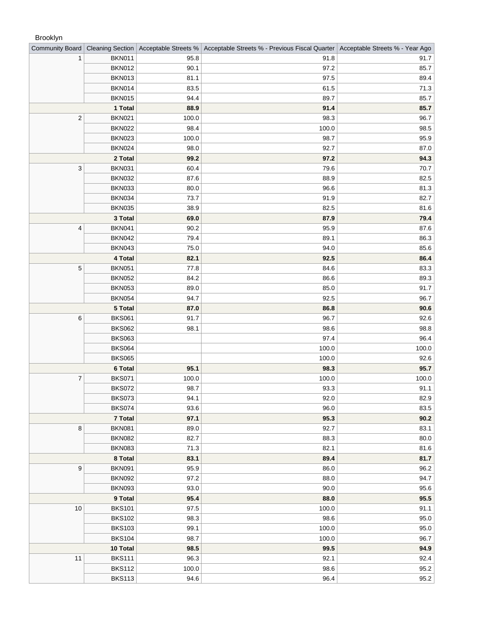## Brooklyn

| <b>Community Board</b> | <b>Cleaning Section</b> | Acceptable Streets % | Acceptable Streets % - Previous Fiscal Quarter   Acceptable Streets % - Year Ago |       |
|------------------------|-------------------------|----------------------|----------------------------------------------------------------------------------|-------|
|                        | <b>BKN011</b>           | 95.8                 | 91.8                                                                             | 91.7  |
|                        | <b>BKN012</b>           | 90.1                 | 97.2                                                                             | 85.7  |
|                        | <b>BKN013</b>           | 81.1                 | 97.5                                                                             | 89.4  |
|                        | <b>BKN014</b>           | 83.5                 | 61.5                                                                             | 71.3  |
|                        | <b>BKN015</b>           | 94.4                 | 89.7                                                                             | 85.7  |
|                        | 1 Total                 | 88.9                 | 91.4                                                                             | 85.7  |
| $\mathbf 2$            | <b>BKN021</b>           | 100.0                | 98.3                                                                             | 96.7  |
|                        | <b>BKN022</b>           | 98.4                 | 100.0                                                                            | 98.5  |
|                        | <b>BKN023</b>           | 100.0                | 98.7                                                                             | 95.9  |
|                        | <b>BKN024</b>           | 98.0                 | 92.7                                                                             | 87.0  |
|                        | 2 Total                 | 99.2                 | 97.2                                                                             | 94.3  |
| $\mathbf{3}$           | <b>BKN031</b>           | 60.4                 | 79.6                                                                             | 70.7  |
|                        | <b>BKN032</b>           | 87.6                 | 88.9                                                                             | 82.5  |
|                        | <b>BKN033</b>           | 80.0                 | 96.6                                                                             | 81.3  |
|                        | <b>BKN034</b>           | 73.7                 | 91.9                                                                             | 82.7  |
|                        | <b>BKN035</b>           | 38.9                 | 82.5                                                                             | 81.6  |
|                        | 3 Total                 | 69.0                 | 87.9                                                                             | 79.4  |
| $\overline{4}$         | <b>BKN041</b>           | 90.2                 | 95.9                                                                             | 87.6  |
|                        | <b>BKN042</b>           | 79.4                 | 89.1                                                                             | 86.3  |
|                        | <b>BKN043</b>           | 75.0                 | 94.0                                                                             | 85.6  |
|                        | 4 Total                 | 82.1                 | 92.5                                                                             | 86.4  |
| $\sqrt{5}$             | <b>BKN051</b>           | 77.8                 | 84.6                                                                             | 83.3  |
|                        | <b>BKN052</b>           | 84.2                 | 86.6                                                                             | 89.3  |
|                        | <b>BKN053</b>           | 89.0                 | 85.0                                                                             | 91.7  |
|                        | <b>BKN054</b>           | 94.7                 | 92.5                                                                             | 96.7  |
|                        | 5 Total                 | 87.0                 | 86.8                                                                             | 90.6  |
| 6                      | <b>BKS061</b>           | 91.7                 | 96.7                                                                             | 92.6  |
|                        | <b>BKS062</b>           | 98.1                 | 98.6                                                                             | 98.8  |
|                        | <b>BKS063</b>           |                      | 97.4                                                                             | 96.4  |
|                        | <b>BKS064</b>           |                      | 100.0                                                                            | 100.0 |
|                        | <b>BKS065</b>           |                      | 100.0                                                                            | 92.6  |
|                        | 6 Total                 | 95.1                 | 98.3                                                                             | 95.7  |
| $\boldsymbol{7}$       | <b>BKS071</b>           | 100.0                | 100.0                                                                            | 100.0 |
|                        | <b>BKS072</b>           | 98.7                 | 93.3                                                                             | 91.1  |
|                        | <b>BKS073</b>           | 94.1                 | 92.0                                                                             | 82.9  |
|                        | <b>BKS074</b>           | 93.6                 | 96.0                                                                             | 83.5  |
|                        | 7 Total                 | 97.1                 | 95.3                                                                             | 90.2  |
| 8                      | <b>BKN081</b>           | 89.0                 | 92.7                                                                             | 83.1  |
|                        | <b>BKN082</b>           | 82.7                 | 88.3                                                                             | 80.0  |
|                        | <b>BKN083</b>           | 71.3                 | 82.1                                                                             | 81.6  |
|                        | 8 Total                 | 83.1                 | 89.4                                                                             | 81.7  |
| 9                      | <b>BKN091</b>           | 95.9                 | 86.0                                                                             | 96.2  |
|                        | <b>BKN092</b>           | 97.2                 | 88.0                                                                             | 94.7  |
|                        | <b>BKN093</b>           | 93.0                 | 90.0                                                                             | 95.6  |
|                        | 9 Total                 | 95.4                 | 88.0                                                                             | 95.5  |
| 10                     | <b>BKS101</b>           | 97.5                 | 100.0                                                                            | 91.1  |
|                        | <b>BKS102</b>           | 98.3                 | 98.6                                                                             | 95.0  |
|                        | <b>BKS103</b>           | 99.1                 | 100.0                                                                            | 95.0  |
|                        | <b>BKS104</b>           | 98.7                 | 100.0                                                                            | 96.7  |
|                        | 10 Total                | 98.5                 | 99.5                                                                             | 94.9  |
| 11                     | <b>BKS111</b>           | 96.3                 | 92.1                                                                             | 92.4  |
|                        | <b>BKS112</b>           | 100.0                | 98.6                                                                             | 95.2  |
|                        | <b>BKS113</b>           | 94.6                 | 96.4                                                                             | 95.2  |
|                        |                         |                      |                                                                                  |       |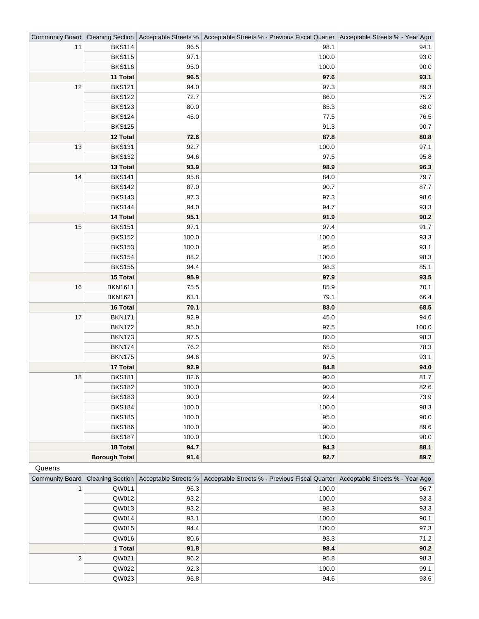| Community Board      | Cleaning Section |       | Acceptable Streets %   Acceptable Streets % - Previous Fiscal Quarter   Acceptable Streets % - Year Ago |       |
|----------------------|------------------|-------|---------------------------------------------------------------------------------------------------------|-------|
| 11                   | <b>BKS114</b>    | 96.5  | 98.1                                                                                                    | 94.1  |
|                      | <b>BKS115</b>    | 97.1  | 100.0                                                                                                   | 93.0  |
|                      | <b>BKS116</b>    | 95.0  | 100.0                                                                                                   | 90.0  |
|                      | 11 Total         | 96.5  | 97.6                                                                                                    | 93.1  |
| 12                   | <b>BKS121</b>    | 94.0  | 97.3                                                                                                    | 89.3  |
|                      | <b>BKS122</b>    | 72.7  | 86.0                                                                                                    | 75.2  |
|                      | <b>BKS123</b>    | 80.0  | 85.3                                                                                                    | 68.0  |
|                      | <b>BKS124</b>    | 45.0  | 77.5                                                                                                    | 76.5  |
|                      | <b>BKS125</b>    |       | 91.3                                                                                                    | 90.7  |
|                      | 12 Total         | 72.6  | 87.8                                                                                                    | 80.8  |
| 13                   | <b>BKS131</b>    | 92.7  | 100.0                                                                                                   | 97.1  |
|                      | <b>BKS132</b>    | 94.6  | 97.5                                                                                                    | 95.8  |
|                      | 13 Total         | 93.9  | 98.9                                                                                                    | 96.3  |
| 14                   | <b>BKS141</b>    | 95.8  | 84.0                                                                                                    | 79.7  |
|                      | <b>BKS142</b>    | 87.0  | 90.7                                                                                                    | 87.7  |
|                      | <b>BKS143</b>    | 97.3  | 97.3                                                                                                    | 98.6  |
|                      | <b>BKS144</b>    | 94.0  | 94.7                                                                                                    | 93.3  |
|                      | 14 Total         | 95.1  | 91.9                                                                                                    | 90.2  |
| 15                   | <b>BKS151</b>    | 97.1  | 97.4                                                                                                    | 91.7  |
|                      | <b>BKS152</b>    | 100.0 | 100.0                                                                                                   | 93.3  |
|                      | <b>BKS153</b>    | 100.0 | 95.0                                                                                                    | 93.1  |
|                      | <b>BKS154</b>    | 88.2  | 100.0                                                                                                   | 98.3  |
|                      | <b>BKS155</b>    | 94.4  | 98.3                                                                                                    | 85.1  |
|                      | 15 Total         | 95.9  | 97.9                                                                                                    | 93.5  |
| $16$                 | <b>BKN1611</b>   | 75.5  | 85.9                                                                                                    | 70.1  |
|                      | <b>BKN1621</b>   | 63.1  | 79.1                                                                                                    | 66.4  |
|                      | 16 Total         | 70.1  | 83.0                                                                                                    | 68.5  |
| 17                   | <b>BKN171</b>    | 92.9  | 45.0                                                                                                    | 94.6  |
|                      | <b>BKN172</b>    | 95.0  | 97.5                                                                                                    | 100.0 |
|                      | <b>BKN173</b>    | 97.5  | 80.0                                                                                                    | 98.3  |
|                      | <b>BKN174</b>    | 76.2  | 65.0                                                                                                    | 78.3  |
|                      | <b>BKN175</b>    | 94.6  | 97.5                                                                                                    | 93.1  |
|                      | 17 Total         | 92.9  | 84.8                                                                                                    | 94.0  |
| 18                   | <b>BKS181</b>    | 82.6  | 90.0                                                                                                    | 81.7  |
|                      | <b>BKS182</b>    | 100.0 | 90.0                                                                                                    | 82.6  |
|                      | <b>BKS183</b>    | 90.0  | 92.4                                                                                                    | 73.9  |
|                      | <b>BKS184</b>    | 100.0 | 100.0                                                                                                   | 98.3  |
|                      | <b>BKS185</b>    | 100.0 | 95.0                                                                                                    | 90.0  |
|                      | <b>BKS186</b>    | 100.0 | 90.0                                                                                                    | 89.6  |
|                      | <b>BKS187</b>    | 100.0 | 100.0                                                                                                   | 90.0  |
|                      | 18 Total         | 94.7  | 94.3                                                                                                    | 88.1  |
| <b>Borough Total</b> |                  | 91.4  | 92.7                                                                                                    | 89.7  |

## Queens

| Community Board |       |      | Cleaning Section   Acceptable Streets %   Acceptable Streets % - Previous Fiscal Quarter   Acceptable Streets % - Year Ago |      |
|-----------------|-------|------|----------------------------------------------------------------------------------------------------------------------------|------|
|                 | QW011 | 96.3 | 100.0                                                                                                                      | 96.7 |
|                 | QW012 | 93.2 | 100.0                                                                                                                      | 93.3 |
|                 | QW013 | 93.2 | 98.3                                                                                                                       | 93.3 |
|                 | QW014 | 93.1 | 100.0                                                                                                                      | 90.1 |
|                 | QW015 | 94.4 | 100.0                                                                                                                      | 97.3 |
|                 | QW016 | 80.6 | 93.3                                                                                                                       | 71.2 |
| 1 Total         |       | 91.8 | 98.4                                                                                                                       | 90.2 |
| 2               | QW021 | 96.2 | 95.8                                                                                                                       | 98.3 |
|                 | QW022 | 92.3 | 100.0                                                                                                                      | 99.1 |
|                 | QW023 | 95.8 | 94.6                                                                                                                       | 93.6 |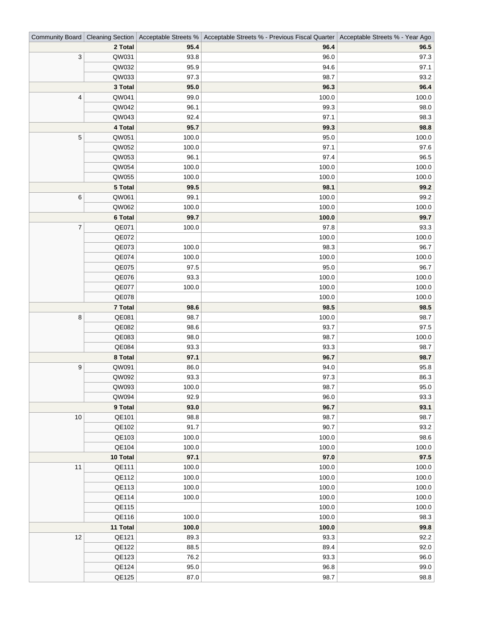|                          |          |       | Community Board   Cleaning Section   Acceptable Streets %   Acceptable Streets % - Previous Fiscal Quarter   Acceptable Streets % - Year Ago |       |
|--------------------------|----------|-------|----------------------------------------------------------------------------------------------------------------------------------------------|-------|
|                          | 2 Total  | 95.4  | 96.4                                                                                                                                         | 96.5  |
| 3                        | QW031    | 93.8  | 96.0                                                                                                                                         | 97.3  |
|                          | QW032    | 95.9  | 94.6                                                                                                                                         | 97.1  |
|                          | QW033    | 97.3  | 98.7                                                                                                                                         | 93.2  |
|                          | 3 Total  | 95.0  | 96.3                                                                                                                                         | 96.4  |
| 4                        | QW041    | 99.0  | 100.0                                                                                                                                        | 100.0 |
|                          | QW042    | 96.1  | 99.3                                                                                                                                         | 98.0  |
|                          | QW043    | 92.4  | 97.1                                                                                                                                         | 98.3  |
|                          | 4 Total  | 95.7  | 99.3                                                                                                                                         | 98.8  |
| $\mathbf 5$              | QW051    | 100.0 | 95.0                                                                                                                                         | 100.0 |
|                          | QW052    | 100.0 | 97.1                                                                                                                                         | 97.6  |
|                          | QW053    | 96.1  | 97.4                                                                                                                                         | 96.5  |
|                          | QW054    | 100.0 | 100.0                                                                                                                                        | 100.0 |
|                          | QW055    | 100.0 | 100.0                                                                                                                                        | 100.0 |
|                          | 5 Total  | 99.5  | 98.1                                                                                                                                         | 99.2  |
| 6                        | QW061    | 99.1  | 100.0                                                                                                                                        | 99.2  |
|                          | QW062    | 100.0 | 100.0                                                                                                                                        | 100.0 |
|                          | 6 Total  | 99.7  | 100.0                                                                                                                                        | 99.7  |
| $\overline{\mathcal{I}}$ | QE071    | 100.0 | 97.8                                                                                                                                         | 93.3  |
|                          | QE072    |       | 100.0                                                                                                                                        | 100.0 |
|                          | QE073    | 100.0 | 98.3                                                                                                                                         | 96.7  |
|                          | QE074    | 100.0 | 100.0                                                                                                                                        | 100.0 |
|                          | QE075    | 97.5  | 95.0                                                                                                                                         | 96.7  |
|                          | QE076    | 93.3  | 100.0                                                                                                                                        | 100.0 |
|                          | QE077    | 100.0 | 100.0                                                                                                                                        | 100.0 |
|                          | QE078    |       | 100.0                                                                                                                                        | 100.0 |
|                          | 7 Total  | 98.6  | 98.5                                                                                                                                         | 98.5  |
| 8                        | QE081    | 98.7  | 100.0                                                                                                                                        | 98.7  |
|                          | QE082    | 98.6  | 93.7                                                                                                                                         | 97.5  |
|                          | QE083    | 98.0  | 98.7                                                                                                                                         | 100.0 |
|                          | QE084    | 93.3  | 93.3                                                                                                                                         | 98.7  |
|                          | 8 Total  | 97.1  | 96.7                                                                                                                                         | 98.7  |
| $\boldsymbol{9}$         | QW091    | 86.0  | 94.0                                                                                                                                         | 95.8  |
|                          | QW092    | 93.3  | 97.3                                                                                                                                         | 86.3  |
|                          | QW093    | 100.0 | 98.7                                                                                                                                         | 95.0  |
|                          | QW094    | 92.9  | 96.0                                                                                                                                         | 93.3  |
|                          | 9 Total  | 93.0  | 96.7                                                                                                                                         | 93.1  |
| 10                       | QE101    | 98.8  | 98.7                                                                                                                                         | 98.7  |
|                          | QE102    | 91.7  | 90.7                                                                                                                                         | 93.2  |
|                          | QE103    | 100.0 | 100.0                                                                                                                                        | 98.6  |
|                          | QE104    | 100.0 | 100.0                                                                                                                                        | 100.0 |
|                          | 10 Total | 97.1  | 97.0                                                                                                                                         | 97.5  |
| 11                       | QE111    | 100.0 | 100.0                                                                                                                                        | 100.0 |
|                          | QE112    | 100.0 | 100.0                                                                                                                                        | 100.0 |
|                          | QE113    | 100.0 | 100.0                                                                                                                                        | 100.0 |
|                          | QE114    | 100.0 | 100.0                                                                                                                                        | 100.0 |
|                          | QE115    |       | 100.0                                                                                                                                        | 100.0 |
|                          | QE116    | 100.0 | 100.0                                                                                                                                        | 98.3  |
|                          | 11 Total | 100.0 | 100.0                                                                                                                                        | 99.8  |
| 12                       | QE121    | 89.3  | 93.3                                                                                                                                         | 92.2  |
|                          | QE122    | 88.5  | 89.4                                                                                                                                         | 92.0  |
|                          | QE123    | 76.2  | 93.3                                                                                                                                         | 96.0  |
|                          | QE124    | 95.0  | 96.8                                                                                                                                         | 99.0  |
|                          | QE125    | 87.0  | 98.7                                                                                                                                         | 98.8  |